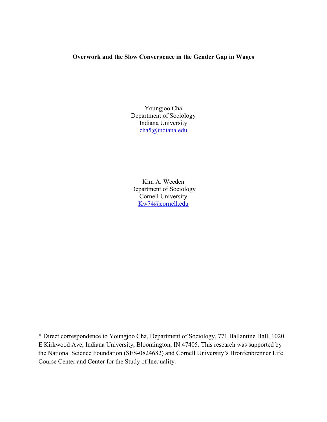# **Overwork and the Slow Convergence in the Gender Gap in Wages**

Youngjoo Cha Department of Sociology Indiana University [cha5@indiana.edu](mailto:cha5@indiana.edu) 

Kim A. Weeden Department of Sociology Cornell University [Kw74@cornell.edu](mailto:Kw74@cornell.edu)

\* Direct correspondence to Youngjoo Cha, Department of Sociology, 771 Ballantine Hall, 1020 E Kirkwood Ave, Indiana University, Bloomington, IN 47405. This research was supported by the National Science Foundation (SES-0824682) and Cornell University's Bronfenbrenner Life Course Center and Center for the Study of Inequality.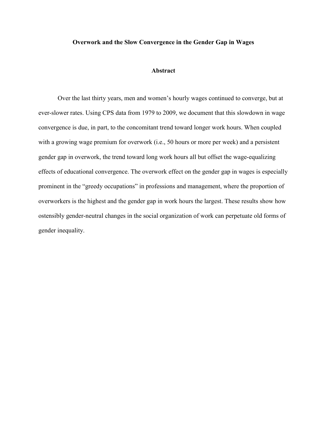#### **Overwork and the Slow Convergence in the Gender Gap in Wages**

## **Abstract**

Over the last thirty years, men and women's hourly wages continued to converge, but at ever-slower rates. Using CPS data from 1979 to 2009, we document that this slowdown in wage convergence is due, in part, to the concomitant trend toward longer work hours. When coupled with a growing wage premium for overwork (i.e., 50 hours or more per week) and a persistent gender gap in overwork, the trend toward long work hours all but offset the wage-equalizing effects of educational convergence. The overwork effect on the gender gap in wages is especially prominent in the "greedy occupations" in professions and management, where the proportion of overworkers is the highest and the gender gap in work hours the largest. These results show how ostensibly gender-neutral changes in the social organization of work can perpetuate old forms of gender inequality.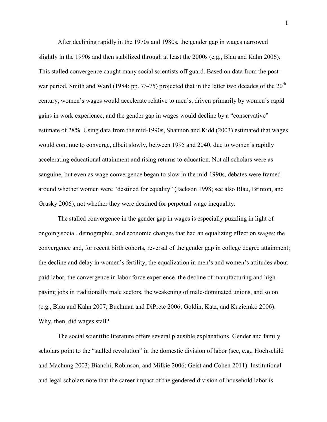After declining rapidly in the 1970s and 1980s, the gender gap in wages narrowed slightly in the 1990s and then stabilized through at least the 2000s (e.g., Blau and Kahn 2006). This stalled convergence caught many social scientists off guard. Based on data from the postwar period, Smith and Ward (1984: pp. 73-75) projected that in the latter two decades of the  $20<sup>th</sup>$ century, women's wages would accelerate relative to men's, driven primarily by women's rapid gains in work experience, and the gender gap in wages would decline by a "conservative" estimate of 28%. Using data from the mid-1990s, Shannon and Kidd (2003) estimated that wages would continue to converge, albeit slowly, between 1995 and 2040, due to women's rapidly accelerating educational attainment and rising returns to education. Not all scholars were as sanguine, but even as wage convergence began to slow in the mid-1990s, debates were framed around whether women were "destined for equality" (Jackson 1998; see also Blau, Brinton, and Grusky 2006), not whether they were destined for perpetual wage inequality.

The stalled convergence in the gender gap in wages is especially puzzling in light of ongoing social, demographic, and economic changes that had an equalizing effect on wages: the convergence and, for recent birth cohorts, reversal of the gender gap in college degree attainment; the decline and delay in women's fertility, the equalization in men's and women's attitudes about paid labor, the convergence in labor force experience, the decline of manufacturing and highpaying jobs in traditionally male sectors, the weakening of male-dominated unions, and so on (e.g., Blau and Kahn 2007; Buchman and DiPrete 2006; Goldin, Katz, and Kuziemko 2006). Why, then, did wages stall?

The social scientific literature offers several plausible explanations. Gender and family scholars point to the "stalled revolution" in the domestic division of labor (see, e.g., Hochschild and Machung 2003; Bianchi, Robinson, and Milkie 2006; Geist and Cohen 2011). Institutional and legal scholars note that the career impact of the gendered division of household labor is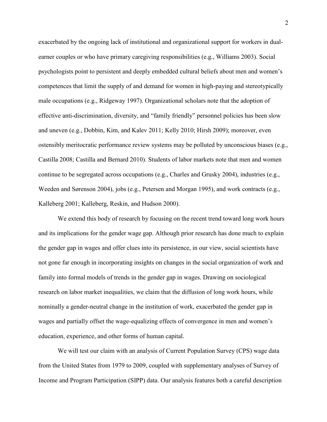exacerbated by the ongoing lack of institutional and organizational support for workers in dualearner couples or who have primary caregiving responsibilities (e.g., Williams 2003). Social psychologists point to persistent and deeply embedded cultural beliefs about men and women's competences that limit the supply of and demand for women in high-paying and stereotypically male occupations (e.g., Ridgeway 1997). Organizational scholars note that the adoption of effective anti-discrimination, diversity, and "family friendly" personnel policies has been slow and uneven (e.g., Dobbin, Kim, and Kalev 2011; Kelly 2010; Hirsh 2009); moreover, even ostensibly meritocratic performance review systems may be polluted by unconscious biases (e.g., Castilla 2008; Castilla and Bernard 2010). Students of labor markets note that men and women continue to be segregated across occupations (e.g., Charles and Grusky 2004), industries (e.g., Weeden and Sørenson 2004), jobs (e.g., Petersen and Morgan 1995), and work contracts (e.g., Kalleberg 2001; Kalleberg, Reskin, and Hudson 2000).

We extend this body of research by focusing on the recent trend toward long work hours and its implications for the gender wage gap. Although prior research has done much to explain the gender gap in wages and offer clues into its persistence, in our view, social scientists have not gone far enough in incorporating insights on changes in the social organization of work and family into formal models of trends in the gender gap in wages. Drawing on sociological research on labor market inequalities, we claim that the diffusion of long work hours, while nominally a gender-neutral change in the institution of work, exacerbated the gender gap in wages and partially offset the wage-equalizing effects of convergence in men and women's education, experience, and other forms of human capital.

We will test our claim with an analysis of Current Population Survey (CPS) wage data from the United States from 1979 to 2009, coupled with supplementary analyses of Survey of Income and Program Participation (SIPP) data. Our analysis features both a careful description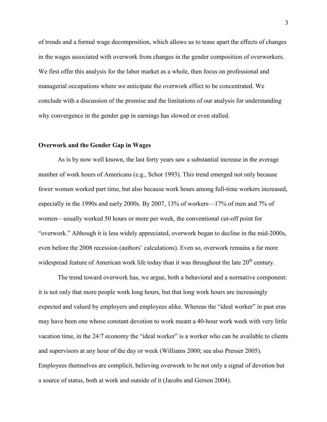of trends and a formal wage decomposition, which allows us to tease apart the effects of changes in the wages associated with overwork from changes in the gender composition of overworkers. We first offer this analysis for the labor market as a whole, then focus on professional and managerial occupations where we anticipate the overwork effect to be concentrated. We conclude with a discussion of the promise and the limitations of our analysis for understanding why convergence in the gender gap in earnings has slowed or even stalled.

#### **Overwork and the Gender Gap in Wages**

As is by now well known, the last forty years saw a substantial increase in the average number of work hours of Americans (e.g., Schor 1993). This trend emerged not only because fewer women worked part time, but also because work hours among full-time workers increased, especially in the 1990s and early 2000s. By 2007, 13% of workers—17% of men and 7% of women—usually worked 50 hours or more per week, the conventional cut-off point for "overwork." Although it is less widely appreciated, overwork began to decline in the mid-2000s, even before the 2008 recession (authors' calculations). Even so, overwork remains a far more widespread feature of American work life today than it was throughout the late  $20<sup>th</sup>$  century.

The trend toward overwork has, we argue, both a behavioral and a normative component: it is not only that more people work long hours, but that long work hours are increasingly expected and valued by employers and employees alike. Whereas the "ideal worker" in past eras may have been one whose constant devotion to work meant a 40-hour work week with very little vacation time, in the 24/7 economy the "ideal worker" is a worker who can be available to clients and supervisors at any hour of the day or week (Williams 2000; see also Presser 2005). Employees themselves are complicit, believing overwork to be not only a signal of devotion but a source of status, both at work and outside of it (Jacobs and Gerson 2004).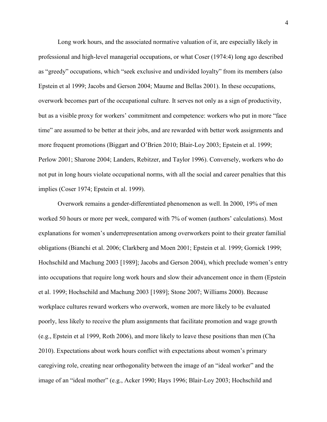Long work hours, and the associated normative valuation of it, are especially likely in professional and high-level managerial occupations, or what Coser (1974:4) long ago described as "greedy" occupations, which "seek exclusive and undivided loyalty" from its members (also Epstein et al 1999; Jacobs and Gerson 2004; Maume and Bellas 2001). In these occupations, overwork becomes part of the occupational culture. It serves not only as a sign of productivity, but as a visible proxy for workers' commitment and competence: workers who put in more "face time" are assumed to be better at their jobs, and are rewarded with better work assignments and more frequent promotions (Biggart and O'Brien 2010; Blair-Loy 2003; Epstein et al. 1999; Perlow 2001; Sharone 2004; Landers, Rebitzer, and Taylor 1996). Conversely, workers who do not put in long hours violate occupational norms, with all the social and career penalties that this implies (Coser 1974; Epstein et al. 1999).

Overwork remains a gender-differentiated phenomenon as well. In 2000, 19% of men worked 50 hours or more per week, compared with 7% of women (authors' calculations). Most explanations for women's underrepresentation among overworkers point to their greater familial obligations (Bianchi et al. 2006; Clarkberg and Moen 2001; Epstein et al. 1999; Gornick 1999; Hochschild and Machung 2003 [1989]; Jacobs and Gerson 2004), which preclude women's entry into occupations that require long work hours and slow their advancement once in them (Epstein et al. 1999; Hochschild and Machung 2003 [1989]; Stone 2007; Williams 2000). Because workplace cultures reward workers who overwork, women are more likely to be evaluated poorly, less likely to receive the plum assignments that facilitate promotion and wage growth (e.g., Epstein et al 1999, Roth 2006), and more likely to leave these positions than men (Cha 2010). Expectations about work hours conflict with expectations about women's primary caregiving role, creating near orthogonality between the image of an "ideal worker" and the image of an "ideal mother" (e.g., Acker 1990; Hays 1996; Blair-Loy 2003; Hochschild and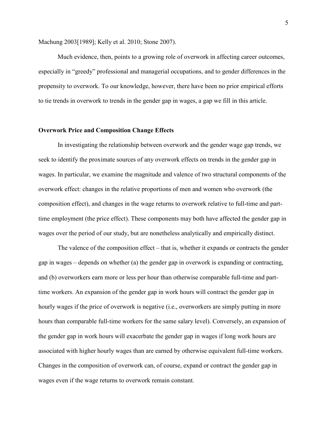Machung 2003[1989]; Kelly et al. 2010; Stone 2007).

Much evidence, then, points to a growing role of overwork in affecting career outcomes, especially in "greedy" professional and managerial occupations, and to gender differences in the propensity to overwork. To our knowledge, however, there have been no prior empirical efforts to tie trends in overwork to trends in the gender gap in wages, a gap we fill in this article.

#### **Overwork Price and Composition Change Effects**

In investigating the relationship between overwork and the gender wage gap trends, we seek to identify the proximate sources of any overwork effects on trends in the gender gap in wages. In particular, we examine the magnitude and valence of two structural components of the overwork effect: changes in the relative proportions of men and women who overwork (the composition effect), and changes in the wage returns to overwork relative to full-time and parttime employment (the price effect). These components may both have affected the gender gap in wages over the period of our study, but are nonetheless analytically and empirically distinct.

The valence of the composition effect – that is, whether it expands or contracts the gender gap in wages – depends on whether (a) the gender gap in overwork is expanding or contracting, and (b) overworkers earn more or less per hour than otherwise comparable full-time and parttime workers. An expansion of the gender gap in work hours will contract the gender gap in hourly wages if the price of overwork is negative (i.e., overworkers are simply putting in more hours than comparable full-time workers for the same salary level). Conversely, an expansion of the gender gap in work hours will exacerbate the gender gap in wages if long work hours are associated with higher hourly wages than are earned by otherwise equivalent full-time workers. Changes in the composition of overwork can, of course, expand or contract the gender gap in wages even if the wage returns to overwork remain constant.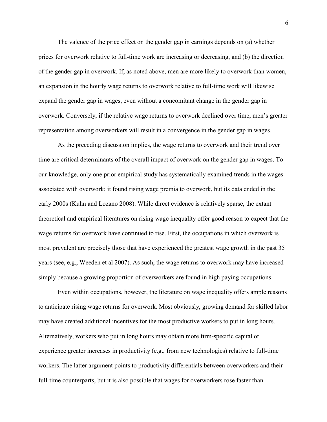The valence of the price effect on the gender gap in earnings depends on (a) whether prices for overwork relative to full-time work are increasing or decreasing, and (b) the direction of the gender gap in overwork. If, as noted above, men are more likely to overwork than women, an expansion in the hourly wage returns to overwork relative to full-time work will likewise expand the gender gap in wages, even without a concomitant change in the gender gap in overwork. Conversely, if the relative wage returns to overwork declined over time, men's greater representation among overworkers will result in a convergence in the gender gap in wages.

As the preceding discussion implies, the wage returns to overwork and their trend over time are critical determinants of the overall impact of overwork on the gender gap in wages. To our knowledge, only one prior empirical study has systematically examined trends in the wages associated with overwork; it found rising wage premia to overwork, but its data ended in the early 2000s (Kuhn and Lozano 2008). While direct evidence is relatively sparse, the extant theoretical and empirical literatures on rising wage inequality offer good reason to expect that the wage returns for overwork have continued to rise. First, the occupations in which overwork is most prevalent are precisely those that have experienced the greatest wage growth in the past 35 years (see, e.g., Weeden et al 2007). As such, the wage returns to overwork may have increased simply because a growing proportion of overworkers are found in high paying occupations.

Even within occupations, however, the literature on wage inequality offers ample reasons to anticipate rising wage returns for overwork. Most obviously, growing demand for skilled labor may have created additional incentives for the most productive workers to put in long hours. Alternatively, workers who put in long hours may obtain more firm-specific capital or experience greater increases in productivity (e.g., from new technologies) relative to full-time workers. The latter argument points to productivity differentials between overworkers and their full-time counterparts, but it is also possible that wages for overworkers rose faster than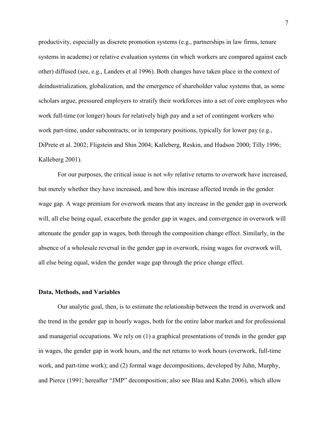productivity, especially as discrete promotion systems (e.g., partnerships in law firms, tenure systems in academe) or relative evaluation systems (in which workers are compared against each other) diffused (see, e.g., Landers et al 1996). Both changes have taken place in the context of deindustrialization, globalization, and the emergence of shareholder value systems that, as some scholars argue, pressured employers to stratify their workforces into a set of core employees who work full-time (or longer) hours for relatively high pay and a set of contingent workers who work part-time, under subcontracts, or in temporary positions, typically for lower pay (e.g., DiPrete et al. 2002; Fligstein and Shin 2004; Kalleberg, Reskin, and Hudson 2000; Tilly 1996; Kalleberg 2001).

For our purposes, the critical issue is not *why* relative returns to overwork have increased, but merely whether they have increased, and how this increase affected trends in the gender wage gap. A wage premium for overwork means that any increase in the gender gap in overwork will, all else being equal, exacerbate the gender gap in wages, and convergence in overwork will attenuate the gender gap in wages, both through the composition change effect. Similarly, in the absence of a wholesale reversal in the gender gap in overwork, rising wages for overwork will, all else being equal, widen the gender wage gap through the price change effect.

#### **Data, Methods, and Variables**

Our analytic goal, then, is to estimate the relationship between the trend in overwork and the trend in the gender gap in hourly wages, both for the entire labor market and for professional and managerial occupations. We rely on (1) a graphical presentations of trends in the gender gap in wages, the gender gap in work hours, and the net returns to work hours (overwork, full-time work, and part-time work); and (2) formal wage decompositions, developed by Juhn, Murphy, and Pierce (1991; hereafter "JMP" decomposition; also see Blau and Kahn 2006), which allow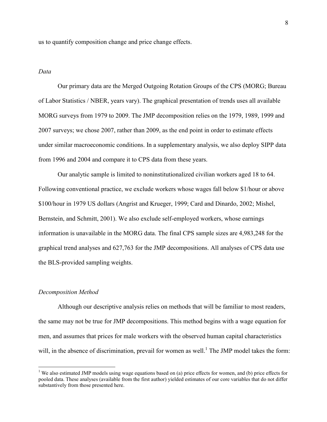us to quantify composition change and price change effects.

#### *Data*

Our primary data are the Merged Outgoing Rotation Groups of the CPS (MORG; Bureau of Labor Statistics / NBER, years vary). The graphical presentation of trends uses all available MORG surveys from 1979 to 2009. The JMP decomposition relies on the 1979, 1989, 1999 and 2007 surveys; we chose 2007, rather than 2009, as the end point in order to estimate effects under similar macroeconomic conditions. In a supplementary analysis, we also deploy SIPP data from 1996 and 2004 and compare it to CPS data from these years.

Our analytic sample is limited to noninstitutionalized civilian workers aged 18 to 64. Following conventional practice, we exclude workers whose wages fall below \$1/hour or above \$100/hour in 1979 US dollars (Angrist and Krueger, 1999; Card and Dinardo, 2002; Mishel, Bernstein, and Schmitt, 2001). We also exclude self-employed workers, whose earnings information is unavailable in the MORG data. The final CPS sample sizes are 4,983,248 for the graphical trend analyses and 627,763 for the JMP decompositions. All analyses of CPS data use the BLS-provided sampling weights.

#### *Decomposition Method*

 $\overline{a}$ 

Although our descriptive analysis relies on methods that will be familiar to most readers, the same may not be true for JMP decompositions. This method begins with a wage equation for men, and assumes that prices for male workers with the observed human capital characteristics will, in the absence of discrimination, prevail for women as well.<sup>1</sup> The JMP model takes the form:

<sup>&</sup>lt;sup>1</sup> We also estimated JMP models using wage equations based on (a) price effects for women, and (b) price effects for pooled data. These analyses (available from the first author) yielded estimates of our core variables that do not differ substantively from those presented here.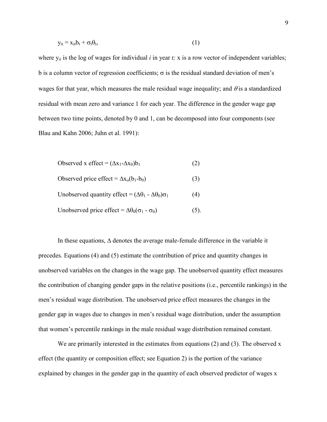$$
y_{it} = x_{it}b_t + \sigma_t \theta_t, \qquad (1)
$$

where  $y_{it}$  is the log of wages for individual  $i$  in year  $t$ ; x is a row vector of independent variables; b is a column vector of regression coefficients;  $\sigma$  is the residual standard deviation of men's wages for that year, which measures the male residual wage inequality; and  $\theta$  is a standardized residual with mean zero and variance 1 for each year. The difference in the gender wage gap between two time points, denoted by 0 and 1, can be decomposed into four components (see Blau and Kahn 2006; Juhn et al. 1991):

$$
Observed x effect = (\Delta x_1 - \Delta x_0)b_1
$$
 (2)

Observed price effect =  $\Delta x_0(b_1-b_0)$  (3)

Unobserved quantity effect =  $(\Delta \theta_1 - \Delta \theta_0) \sigma_1$  (4)

Unobserved price effect =  $\Delta\theta_0(\sigma_1 - \sigma_0)$  (5).

In these equations, ∆ denotes the average male-female difference in the variable it precedes. Equations (4) and (5) estimate the contribution of price and quantity changes in unobserved variables on the changes in the wage gap. The unobserved quantity effect measures the contribution of changing gender gaps in the relative positions (i.e., percentile rankings) in the men's residual wage distribution. The unobserved price effect measures the changes in the gender gap in wages due to changes in men's residual wage distribution, under the assumption that women's percentile rankings in the male residual wage distribution remained constant.

We are primarily interested in the estimates from equations (2) and (3). The observed x effect (the quantity or composition effect; see Equation 2) is the portion of the variance explained by changes in the gender gap in the quantity of each observed predictor of wages x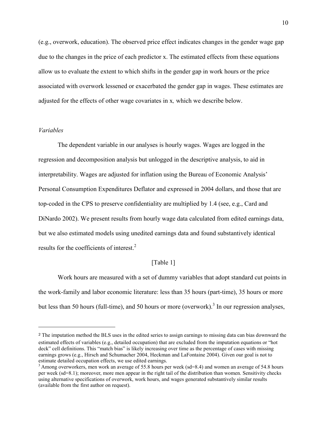(e.g., overwork, education). The observed price effect indicates changes in the gender wage gap due to the changes in the price of each predictor x. The estimated effects from these equations allow us to evaluate the extent to which shifts in the gender gap in work hours or the price associated with overwork lessened or exacerbated the gender gap in wages. These estimates are adjusted for the effects of other wage covariates in x*,* which we describe below.

#### *Variables*

 $\overline{a}$ 

The dependent variable in our analyses is hourly wages. Wages are logged in the regression and decomposition analysis but unlogged in the descriptive analysis, to aid in interpretability. Wages are adjusted for inflation using the Bureau of Economic Analysis' Personal Consumption Expenditures Deflator and expressed in 2004 dollars, and those that are top-coded in the CPS to preserve confidentiality are multiplied by 1.4 (see, e.g., Card and DiNardo 2002). We present results from hourly wage data calculated from edited earnings data, but we also estimated models using unedited earnings data and found substantively identical results for the coefficients of interest.<sup>2</sup>

#### [Table 1]

Work hours are measured with a set of dummy variables that adopt standard cut points in the work-family and labor economic literature: less than 35 hours (part-time), 35 hours or more but less than 50 hours (full-time), and 50 hours or more (overwork).<sup>3</sup> In our regression analyses,

<sup>&</sup>lt;sup>2</sup> The imputation method the BLS uses in the edited series to assign earnings to missing data can bias downward the estimated effects of variables (e.g., detailed occupation) that are excluded from the imputation equations or "hot deck" cell definitions. This "match bias" is likely increasing over time as the percentage of cases with missing earnings grows (e.g., Hirsch and Schumacher 2004, Heckman and LaFontaine 2004). Given our goal is not to estimate detailed occupation effects, we use edited earnings.

<sup>&</sup>lt;sup>3</sup> Among overworkers, men work an average of 55.8 hours per week (sd=8.4) and women an average of 54.8 hours per week (sd=8.1); moreover, more men appear in the right tail of the distribution than women. Sensitivity checks using alternative specifications of overwork, work hours, and wages generated substantively similar results (available from the first author on request).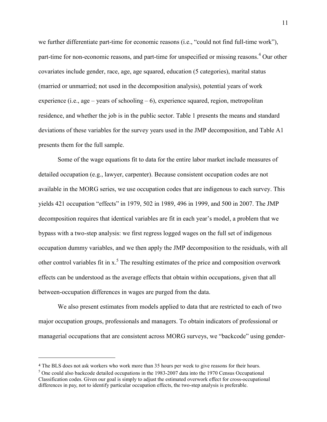we further differentiate part-time for economic reasons (i.e., "could not find full-time work"), part-time for non-economic reasons, and part-time for unspecified or missing reasons.<sup>4</sup> Our other covariates include gender, race, age, age squared, education (5 categories), marital status (married or unmarried; not used in the decomposition analysis), potential years of work experience (i.e., age – years of schooling – 6), experience squared, region, metropolitan residence, and whether the job is in the public sector. Table 1 presents the means and standard deviations of these variables for the survey years used in the JMP decomposition, and Table A1 presents them for the full sample.

Some of the wage equations fit to data for the entire labor market include measures of detailed occupation (e.g., lawyer, carpenter). Because consistent occupation codes are not available in the MORG series, we use occupation codes that are indigenous to each survey. This yields 421 occupation "effects" in 1979, 502 in 1989, 496 in 1999, and 500 in 2007. The JMP decomposition requires that identical variables are fit in each year's model, a problem that we bypass with a two-step analysis: we first regress logged wages on the full set of indigenous occupation dummy variables, and we then apply the JMP decomposition to the residuals, with all other control variables fit in  $x$ .<sup>5</sup> The resulting estimates of the price and composition overwork effects can be understood as the average effects that obtain within occupations, given that all between-occupation differences in wages are purged from the data.

We also present estimates from models applied to data that are restricted to each of two major occupation groups, professionals and managers. To obtain indicators of professional or managerial occupations that are consistent across MORG surveys, we "backcode" using gender-

<u>.</u>

<sup>&</sup>lt;sup>4</sup> The BLS does not ask workers who work more than 35 hours per week to give reasons for their hours.

<sup>&</sup>lt;sup>5</sup> One could also backcode detailed occupations in the 1983-2007 data into the 1970 Census Occupational Classification codes. Given our goal is simply to adjust the estimated overwork effect for cross-occupational differences in pay, not to identify particular occupation effects, the two-step analysis is preferable.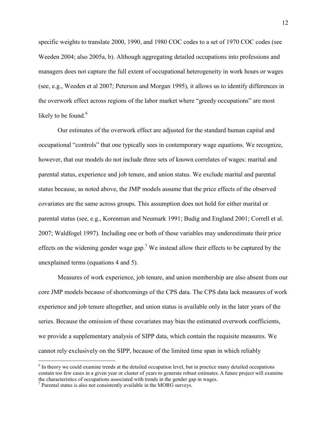specific weights to translate 2000, 1990, and 1980 COC codes to a set of 1970 COC codes (see Weeden 2004; also 2005a, b). Although aggregating detailed occupations into professions and managers does not capture the full extent of occupational heterogeneity in work hours or wages (see, e.g., Weeden et al 2007; Peterson and Morgan 1995), it allows us to identify differences in the overwork effect across regions of the labor market where "greedy occupations" are most likely to be found. $6$ 

Our estimates of the overwork effect are adjusted for the standard human capital and occupational "controls" that one typically sees in contemporary wage equations. We recognize, however, that our models do not include three sets of known correlates of wages: marital and parental status, experience and job tenure, and union status. We exclude marital and parental status because, as noted above, the JMP models assume that the price effects of the observed covariates are the same across groups. This assumption does not hold for either marital or parental status (see, e.g., Korenman and Neumark 1991; Budig and England 2001; Correll et al. 2007; Waldfogel 1997). Including one or both of these variables may underestimate their price effects on the widening gender wage gap.<sup>7</sup> We instead allow their effects to be captured by the unexplained terms (equations 4 and 5).

Measures of work experience, job tenure, and union membership are also absent from our core JMP models because of shortcomings of the CPS data. The CPS data lack measures of work experience and job tenure altogether, and union status is available only in the later years of the series. Because the omission of these covariates may bias the estimated overwork coefficients, we provide a supplementary analysis of SIPP data, which contain the requisite measures. We cannot rely exclusively on the SIPP, because of the limited time span in which reliably

 $\overline{a}$ 

<sup>&</sup>lt;sup>6</sup> In theory we could examine trends at the detailed occupation level, but in practice many detailed occupations contain too few cases in a given year or cluster of years to generate robust estimates. A future project will examine the characteristics of occupations associated with trends in the gender gap in wages.

<sup>&</sup>lt;sup>7</sup> Parental status is also not consistently available in the MORG surveys.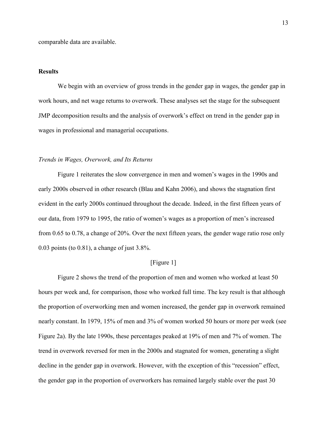comparable data are available.

## **Results**

We begin with an overview of gross trends in the gender gap in wages, the gender gap in work hours, and net wage returns to overwork. These analyses set the stage for the subsequent JMP decomposition results and the analysis of overwork's effect on trend in the gender gap in wages in professional and managerial occupations.

#### *Trends in Wages, Overwork, and Its Returns*

Figure 1 reiterates the slow convergence in men and women's wages in the 1990s and early 2000s observed in other research (Blau and Kahn 2006), and shows the stagnation first evident in the early 2000s continued throughout the decade. Indeed, in the first fifteen years of our data, from 1979 to 1995, the ratio of women's wages as a proportion of men's increased from 0.65 to 0.78, a change of 20%. Over the next fifteen years, the gender wage ratio rose only 0.03 points (to 0.81), a change of just 3.8%.

## [Figure 1]

Figure 2 shows the trend of the proportion of men and women who worked at least 50 hours per week and, for comparison, those who worked full time. The key result is that although the proportion of overworking men and women increased, the gender gap in overwork remained nearly constant. In 1979, 15% of men and 3% of women worked 50 hours or more per week (see Figure 2a). By the late 1990s, these percentages peaked at 19% of men and 7% of women. The trend in overwork reversed for men in the 2000s and stagnated for women, generating a slight decline in the gender gap in overwork. However, with the exception of this "recession" effect, the gender gap in the proportion of overworkers has remained largely stable over the past 30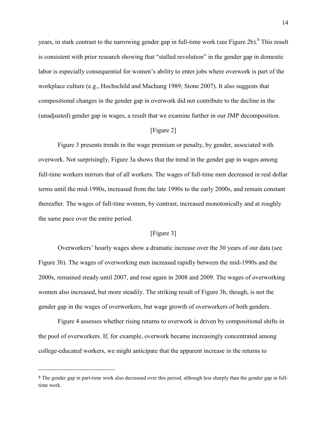years, in stark contrast to the narrowing gender gap in full-time work (see Figure 2b).<sup>8</sup> This result is consistent with prior research showing that "stalled revolution" in the gender gap in domestic labor is especially consequential for women's ability to enter jobs where overwork is part of the workplace culture (e.g., Hochschild and Machung 1989; Stone 2007). It also suggests that compositional changes in the gender gap in overwork did not contribute to the decline in the (unadjusted) gender gap in wages, a result that we examine further in our JMP decomposition.

## [Figure 2]

Figure 3 presents trends in the wage premium or penalty, by gender, associated with overwork. Not surprisingly, Figure 3a shows that the trend in the gender gap in wages among full-time workers mirrors that of all workers. The wages of full-time men decreased in real dollar terms until the mid-1990s, increased from the late 1990s to the early 2000s, and remain constant thereafter. The wages of full-time women, by contrast, increased monotonically and at roughly the same pace over the entire period.

#### [Figure 3]

Overworkers' hourly wages show a dramatic increase over the 30 years of our data (see Figure 3b). The wages of overworking men increased rapidly between the mid-1990s and the 2000s, remained steady until 2007, and rose again in 2008 and 2009. The wages of overworking women also increased, but more steadily. The striking result of Figure 3b, though, is not the gender gap in the wages of overworkers, but wage growth of overworkers of both genders.

Figure 4 assesses whether rising returns to overwork is driven by compositional shifts in the pool of overworkers. If, for example, overwork became increasingly concentrated among college-educated workers, we might anticipate that the apparent increase in the returns to

 $\overline{a}$ 

<sup>&</sup>lt;sup>8</sup> The gender gap in part-time work also decreased over this period, although less sharply than the gender gap in fulltime work.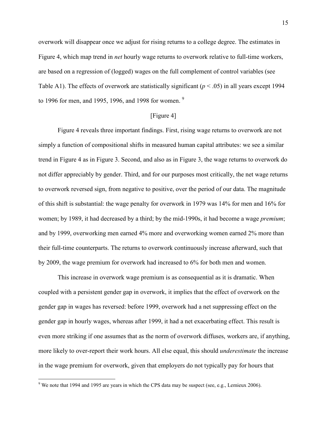overwork will disappear once we adjust for rising returns to a college degree. The estimates in Figure 4, which map trend in *net* hourly wage returns to overwork relative to full-time workers, are based on a regression of (logged) wages on the full complement of control variables (see Table A1). The effects of overwork are statistically significant ( $p < .05$ ) in all years except 1994 to 1996 for men, and 1995, 1996, and 1998 for women.  $9$ 

#### [Figure 4]

Figure 4 reveals three important findings. First, rising wage returns to overwork are not simply a function of compositional shifts in measured human capital attributes: we see a similar trend in Figure 4 as in Figure 3. Second, and also as in Figure 3, the wage returns to overwork do not differ appreciably by gender. Third, and for our purposes most critically, the net wage returns to overwork reversed sign, from negative to positive, over the period of our data. The magnitude of this shift is substantial: the wage penalty for overwork in 1979 was 14% for men and 16% for women; by 1989, it had decreased by a third; by the mid-1990s, it had become a wage *premium*; and by 1999, overworking men earned 4% more and overworking women earned 2% more than their full-time counterparts. The returns to overwork continuously increase afterward, such that by 2009, the wage premium for overwork had increased to 6% for both men and women.

This increase in overwork wage premium is as consequential as it is dramatic. When coupled with a persistent gender gap in overwork, it implies that the effect of overwork on the gender gap in wages has reversed: before 1999, overwork had a net suppressing effect on the gender gap in hourly wages, whereas after 1999, it had a net exacerbating effect. This result is even more striking if one assumes that as the norm of overwork diffuses, workers are, if anything, more likely to over-report their work hours. All else equal, this should *underestimate* the increase in the wage premium for overwork, given that employers do not typically pay for hours that

<u>.</u>

<sup>&</sup>lt;sup>9</sup> We note that 1994 and 1995 are years in which the CPS data may be suspect (see, e.g., Lemieux 2006).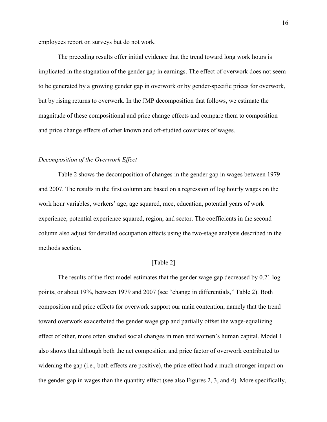employees report on surveys but do not work.

The preceding results offer initial evidence that the trend toward long work hours is implicated in the stagnation of the gender gap in earnings. The effect of overwork does not seem to be generated by a growing gender gap in overwork or by gender-specific prices for overwork, but by rising returns to overwork. In the JMP decomposition that follows, we estimate the magnitude of these compositional and price change effects and compare them to composition and price change effects of other known and oft-studied covariates of wages.

#### *Decomposition of the Overwork Effect*

Table 2 shows the decomposition of changes in the gender gap in wages between 1979 and 2007. The results in the first column are based on a regression of log hourly wages on the work hour variables, workers' age, age squared, race, education, potential years of work experience, potential experience squared, region, and sector. The coefficients in the second column also adjust for detailed occupation effects using the two-stage analysis described in the methods section.

## [Table 2]

The results of the first model estimates that the gender wage gap decreased by 0.21 log points, or about 19%, between 1979 and 2007 (see "change in differentials," Table 2). Both composition and price effects for overwork support our main contention, namely that the trend toward overwork exacerbated the gender wage gap and partially offset the wage-equalizing effect of other, more often studied social changes in men and women's human capital. Model 1 also shows that although both the net composition and price factor of overwork contributed to widening the gap (i.e., both effects are positive), the price effect had a much stronger impact on the gender gap in wages than the quantity effect (see also Figures 2, 3, and 4). More specifically,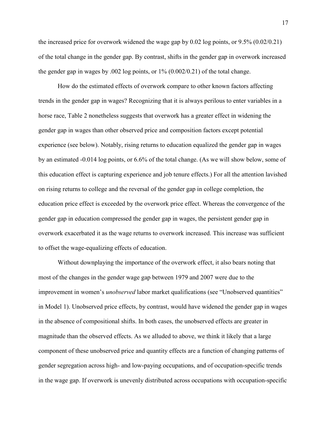the increased price for overwork widened the wage gap by  $0.02 \log \pi$  points, or  $9.5\%$  ( $0.02/0.21$ ) of the total change in the gender gap. By contrast, shifts in the gender gap in overwork increased the gender gap in wages by .002 log points, or  $1\%$  (0.002/0.21) of the total change.

How do the estimated effects of overwork compare to other known factors affecting trends in the gender gap in wages? Recognizing that it is always perilous to enter variables in a horse race, Table 2 nonetheless suggests that overwork has a greater effect in widening the gender gap in wages than other observed price and composition factors except potential experience (see below). Notably, rising returns to education equalized the gender gap in wages by an estimated -0.014 log points, or 6.6% of the total change. (As we will show below, some of this education effect is capturing experience and job tenure effects.) For all the attention lavished on rising returns to college and the reversal of the gender gap in college completion, the education price effect is exceeded by the overwork price effect. Whereas the convergence of the gender gap in education compressed the gender gap in wages, the persistent gender gap in overwork exacerbated it as the wage returns to overwork increased. This increase was sufficient to offset the wage-equalizing effects of education.

Without downplaying the importance of the overwork effect, it also bears noting that most of the changes in the gender wage gap between 1979 and 2007 were due to the improvement in women's *unobserved* labor market qualifications (see "Unobserved quantities" in Model 1). Unobserved price effects, by contrast, would have widened the gender gap in wages in the absence of compositional shifts. In both cases, the unobserved effects are greater in magnitude than the observed effects. As we alluded to above, we think it likely that a large component of these unobserved price and quantity effects are a function of changing patterns of gender segregation across high- and low-paying occupations, and of occupation-specific trends in the wage gap. If overwork is unevenly distributed across occupations with occupation-specific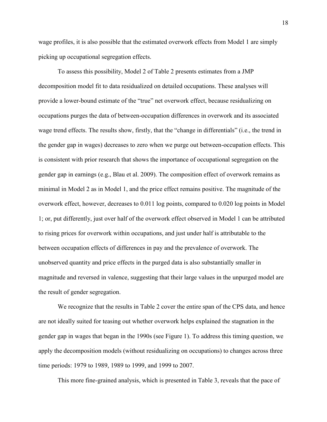wage profiles, it is also possible that the estimated overwork effects from Model 1 are simply picking up occupational segregation effects.

To assess this possibility, Model 2 of Table 2 presents estimates from a JMP decomposition model fit to data residualized on detailed occupations. These analyses will provide a lower-bound estimate of the "true" net overwork effect, because residualizing on occupations purges the data of between-occupation differences in overwork and its associated wage trend effects. The results show, firstly, that the "change in differentials" (i.e., the trend in the gender gap in wages) decreases to zero when we purge out between-occupation effects. This is consistent with prior research that shows the importance of occupational segregation on the gender gap in earnings (e.g., Blau et al. 2009). The composition effect of overwork remains as minimal in Model 2 as in Model 1, and the price effect remains positive. The magnitude of the overwork effect, however, decreases to 0.011 log points, compared to 0.020 log points in Model 1; or, put differently, just over half of the overwork effect observed in Model 1 can be attributed to rising prices for overwork within occupations, and just under half is attributable to the between occupation effects of differences in pay and the prevalence of overwork. The unobserved quantity and price effects in the purged data is also substantially smaller in magnitude and reversed in valence, suggesting that their large values in the unpurged model are the result of gender segregation.

We recognize that the results in Table 2 cover the entire span of the CPS data, and hence are not ideally suited for teasing out whether overwork helps explained the stagnation in the gender gap in wages that began in the 1990s (see Figure 1). To address this timing question, we apply the decomposition models (without residualizing on occupations) to changes across three time periods: 1979 to 1989, 1989 to 1999, and 1999 to 2007.

This more fine-grained analysis, which is presented in Table 3, reveals that the pace of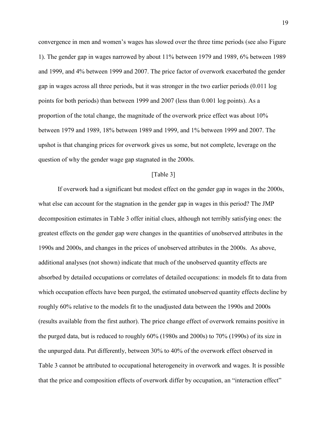convergence in men and women's wages has slowed over the three time periods (see also Figure 1). The gender gap in wages narrowed by about 11% between 1979 and 1989, 6% between 1989 and 1999, and 4% between 1999 and 2007. The price factor of overwork exacerbated the gender gap in wages across all three periods, but it was stronger in the two earlier periods (0.011 log points for both periods) than between 1999 and 2007 (less than 0.001 log points). As a proportion of the total change, the magnitude of the overwork price effect was about 10% between 1979 and 1989, 18% between 1989 and 1999, and 1% between 1999 and 2007. The upshot is that changing prices for overwork gives us some, but not complete, leverage on the question of why the gender wage gap stagnated in the 2000s.

## [Table 3]

If overwork had a significant but modest effect on the gender gap in wages in the 2000s, what else can account for the stagnation in the gender gap in wages in this period? The JMP decomposition estimates in Table 3 offer initial clues, although not terribly satisfying ones: the greatest effects on the gender gap were changes in the quantities of unobserved attributes in the 1990s and 2000s, and changes in the prices of unobserved attributes in the 2000s. As above, additional analyses (not shown) indicate that much of the unobserved quantity effects are absorbed by detailed occupations or correlates of detailed occupations: in models fit to data from which occupation effects have been purged, the estimated unobserved quantity effects decline by roughly 60% relative to the models fit to the unadjusted data between the 1990s and 2000s (results available from the first author). The price change effect of overwork remains positive in the purged data, but is reduced to roughly 60% (1980s and 2000s) to 70% (1990s) of its size in the unpurged data. Put differently, between 30% to 40% of the overwork effect observed in Table 3 cannot be attributed to occupational heterogeneity in overwork and wages. It is possible that the price and composition effects of overwork differ by occupation, an "interaction effect"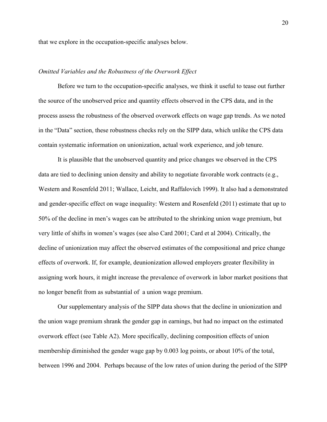that we explore in the occupation-specific analyses below.

## *Omitted Variables and the Robustness of the Overwork Effect*

Before we turn to the occupation-specific analyses, we think it useful to tease out further the source of the unobserved price and quantity effects observed in the CPS data, and in the process assess the robustness of the observed overwork effects on wage gap trends. As we noted in the "Data" section, these robustness checks rely on the SIPP data, which unlike the CPS data contain systematic information on unionization, actual work experience, and job tenure.

It is plausible that the unobserved quantity and price changes we observed in the CPS data are tied to declining union density and ability to negotiate favorable work contracts (e.g., Western and Rosenfeld 2011; Wallace, Leicht, and Raffalovich 1999). It also had a demonstrated and gender-specific effect on wage inequality: Western and Rosenfeld (2011) estimate that up to 50% of the decline in men's wages can be attributed to the shrinking union wage premium, but very little of shifts in women's wages (see also Card 2001; Card et al 2004). Critically, the decline of unionization may affect the observed estimates of the compositional and price change effects of overwork. If, for example, deunionization allowed employers greater flexibility in assigning work hours, it might increase the prevalence of overwork in labor market positions that no longer benefit from as substantial of a union wage premium.

Our supplementary analysis of the SIPP data shows that the decline in unionization and the union wage premium shrank the gender gap in earnings, but had no impact on the estimated overwork effect (see Table A2). More specifically, declining composition effects of union membership diminished the gender wage gap by 0.003 log points, or about 10% of the total, between 1996 and 2004. Perhaps because of the low rates of union during the period of the SIPP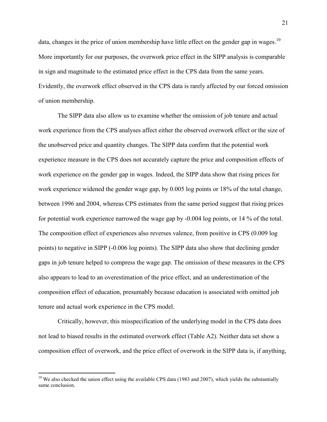data, changes in the price of union membership have little effect on the gender gap in wages.<sup>10</sup> More importantly for our purposes, the overwork price effect in the SIPP analysis is comparable in sign and magnitude to the estimated price effect in the CPS data from the same years. Evidently, the overwork effect observed in the CPS data is rarely affected by our forced omission of union membership.

The SIPP data also allow us to examine whether the omission of job tenure and actual work experience from the CPS analyses affect either the observed overwork effect or the size of the unobserved price and quantity changes. The SIPP data confirm that the potential work experience measure in the CPS does not accurately capture the price and composition effects of work experience on the gender gap in wages. Indeed, the SIPP data show that rising prices for work experience widened the gender wage gap, by 0.005 log points or 18% of the total change, between 1996 and 2004, whereas CPS estimates from the same period suggest that rising prices for potential work experience narrowed the wage gap by -0.004 log points, or 14 % of the total. The composition effect of experiences also reverses valence, from positive in CPS (0.009 log points) to negative in SIPP (-0.006 log points). The SIPP data also show that declining gender gaps in job tenure helped to compress the wage gap. The omission of these measures in the CPS also appears to lead to an overestimation of the price effect, and an underestimation of the composition effect of education, presumably because education is associated with omitted job tenure and actual work experience in the CPS model.

Critically, however, this misspecification of the underlying model in the CPS data does not lead to biased results in the estimated overwork effect (Table A2). Neither data set show a composition effect of overwork, and the price effect of overwork in the SIPP data is, if anything,

 $\overline{a}$ 

<sup>&</sup>lt;sup>10</sup> We also checked the union effect using the available CPS data (1983 and 2007), which yields the substantially same conclusion.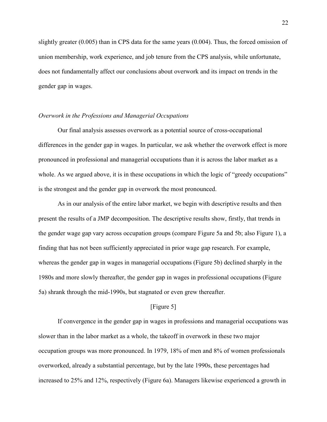slightly greater (0.005) than in CPS data for the same years (0.004). Thus, the forced omission of union membership, work experience, and job tenure from the CPS analysis, while unfortunate, does not fundamentally affect our conclusions about overwork and its impact on trends in the gender gap in wages.

## *Overwork in the Professions and Managerial Occupations*

Our final analysis assesses overwork as a potential source of cross-occupational differences in the gender gap in wages. In particular, we ask whether the overwork effect is more pronounced in professional and managerial occupations than it is across the labor market as a whole. As we argued above, it is in these occupations in which the logic of "greedy occupations" is the strongest and the gender gap in overwork the most pronounced.

As in our analysis of the entire labor market, we begin with descriptive results and then present the results of a JMP decomposition. The descriptive results show, firstly, that trends in the gender wage gap vary across occupation groups (compare Figure 5a and 5b; also Figure 1), a finding that has not been sufficiently appreciated in prior wage gap research. For example, whereas the gender gap in wages in managerial occupations (Figure 5b) declined sharply in the 1980s and more slowly thereafter, the gender gap in wages in professional occupations (Figure 5a) shrank through the mid-1990s, but stagnated or even grew thereafter.

#### [Figure 5]

If convergence in the gender gap in wages in professions and managerial occupations was slower than in the labor market as a whole, the takeoff in overwork in these two major occupation groups was more pronounced. In 1979, 18% of men and 8% of women professionals overworked, already a substantial percentage, but by the late 1990s, these percentages had increased to 25% and 12%, respectively (Figure 6a). Managers likewise experienced a growth in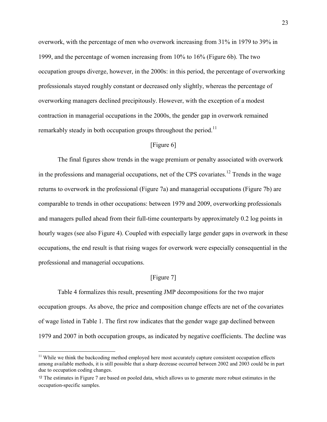overwork, with the percentage of men who overwork increasing from 31% in 1979 to 39% in 1999, and the percentage of women increasing from 10% to 16% (Figure 6b). The two occupation groups diverge, however, in the 2000s: in this period, the percentage of overworking professionals stayed roughly constant or decreased only slightly, whereas the percentage of overworking managers declined precipitously. However, with the exception of a modest contraction in managerial occupations in the 2000s, the gender gap in overwork remained remarkably steady in both occupation groups throughout the period.<sup>11</sup>

## [Figure 6]

The final figures show trends in the wage premium or penalty associated with overwork in the professions and managerial occupations, net of the CPS covariates.<sup>12</sup> Trends in the wage returns to overwork in the professional (Figure 7a) and managerial occupations (Figure 7b) are comparable to trends in other occupations: between 1979 and 2009, overworking professionals and managers pulled ahead from their full-time counterparts by approximately 0.2 log points in hourly wages (see also Figure 4). Coupled with especially large gender gaps in overwork in these occupations, the end result is that rising wages for overwork were especially consequential in the professional and managerial occupations.

#### [Figure 7]

Table 4 formalizes this result, presenting JMP decompositions for the two major occupation groups. As above, the price and composition change effects are net of the covariates of wage listed in Table 1. The first row indicates that the gender wage gap declined between 1979 and 2007 in both occupation groups, as indicated by negative coefficients. The decline was

 $\overline{a}$ 

<sup>&</sup>lt;sup>11</sup> While we think the backcoding method employed here most accurately capture consistent occupation effects among available methods, it is still possible that a sharp decrease occurred between 2002 and 2003 could be in part due to occupation coding changes.

<sup>&</sup>lt;sup>12</sup> The estimates in Figure 7 are based on pooled data, which allows us to generate more robust estimates in the occupation-specific samples.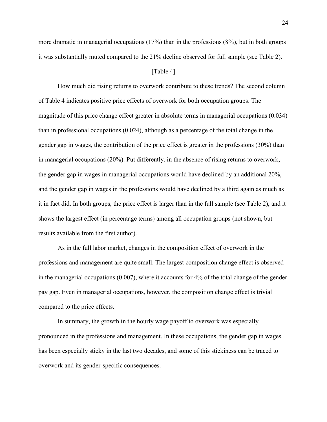more dramatic in managerial occupations (17%) than in the professions (8%), but in both groups it was substantially muted compared to the 21% decline observed for full sample (see Table 2).

#### [Table 4]

How much did rising returns to overwork contribute to these trends? The second column of Table 4 indicates positive price effects of overwork for both occupation groups. The magnitude of this price change effect greater in absolute terms in managerial occupations (0.034) than in professional occupations (0.024), although as a percentage of the total change in the gender gap in wages, the contribution of the price effect is greater in the professions (30%) than in managerial occupations (20%). Put differently, in the absence of rising returns to overwork, the gender gap in wages in managerial occupations would have declined by an additional 20%, and the gender gap in wages in the professions would have declined by a third again as much as it in fact did. In both groups, the price effect is larger than in the full sample (see Table 2), and it shows the largest effect (in percentage terms) among all occupation groups (not shown, but results available from the first author).

As in the full labor market, changes in the composition effect of overwork in the professions and management are quite small. The largest composition change effect is observed in the managerial occupations (0.007), where it accounts for 4% of the total change of the gender pay gap. Even in managerial occupations, however, the composition change effect is trivial compared to the price effects.

In summary, the growth in the hourly wage payoff to overwork was especially pronounced in the professions and management. In these occupations, the gender gap in wages has been especially sticky in the last two decades, and some of this stickiness can be traced to overwork and its gender-specific consequences.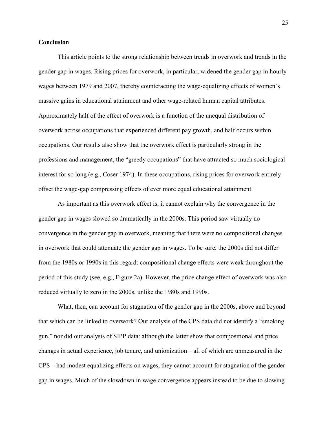#### **Conclusion**

This article points to the strong relationship between trends in overwork and trends in the gender gap in wages. Rising prices for overwork, in particular, widened the gender gap in hourly wages between 1979 and 2007, thereby counteracting the wage-equalizing effects of women's massive gains in educational attainment and other wage-related human capital attributes. Approximately half of the effect of overwork is a function of the unequal distribution of overwork across occupations that experienced different pay growth, and half occurs within occupations. Our results also show that the overwork effect is particularly strong in the professions and management, the "greedy occupations" that have attracted so much sociological interest for so long (e.g., Coser 1974). In these occupations, rising prices for overwork entirely offset the wage-gap compressing effects of ever more equal educational attainment.

As important as this overwork effect is, it cannot explain why the convergence in the gender gap in wages slowed so dramatically in the 2000s. This period saw virtually no convergence in the gender gap in overwork, meaning that there were no compositional changes in overwork that could attenuate the gender gap in wages. To be sure, the 2000s did not differ from the 1980s or 1990s in this regard: compositional change effects were weak throughout the period of this study (see, e.g., Figure 2a). However, the price change effect of overwork was also reduced virtually to zero in the 2000s, unlike the 1980s and 1990s.

What, then, can account for stagnation of the gender gap in the 2000s, above and beyond that which can be linked to overwork? Our analysis of the CPS data did not identify a "smoking gun," nor did our analysis of SIPP data: although the latter show that compositional and price changes in actual experience, job tenure, and unionization – all of which are unmeasured in the CPS – had modest equalizing effects on wages, they cannot account for stagnation of the gender gap in wages. Much of the slowdown in wage convergence appears instead to be due to slowing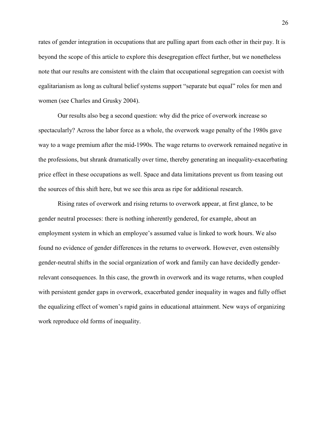rates of gender integration in occupations that are pulling apart from each other in their pay. It is beyond the scope of this article to explore this desegregation effect further, but we nonetheless note that our results are consistent with the claim that occupational segregation can coexist with egalitarianism as long as cultural belief systems support "separate but equal" roles for men and women (see Charles and Grusky 2004).

Our results also beg a second question: why did the price of overwork increase so spectacularly? Across the labor force as a whole, the overwork wage penalty of the 1980s gave way to a wage premium after the mid-1990s. The wage returns to overwork remained negative in the professions, but shrank dramatically over time, thereby generating an inequality-exacerbating price effect in these occupations as well. Space and data limitations prevent us from teasing out the sources of this shift here, but we see this area as ripe for additional research.

Rising rates of overwork and rising returns to overwork appear, at first glance, to be gender neutral processes: there is nothing inherently gendered, for example, about an employment system in which an employee's assumed value is linked to work hours. We also found no evidence of gender differences in the returns to overwork. However, even ostensibly gender-neutral shifts in the social organization of work and family can have decidedly genderrelevant consequences. In this case, the growth in overwork and its wage returns, when coupled with persistent gender gaps in overwork, exacerbated gender inequality in wages and fully offset the equalizing effect of women's rapid gains in educational attainment. New ways of organizing work reproduce old forms of inequality.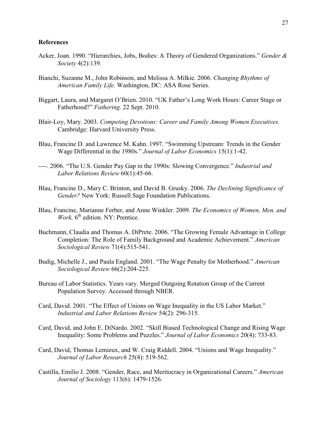## **References**

- Acker, Joan. 1990. "Hierarchies, Jobs, Bodies: A Theory of Gendered Organizations." *Gender & Society* 4(2):139.
- Bianchi, Suzanne M., John Robinson, and Melissa A. Milkie. 2006. *Changing Rhythms of American Family Life.* Washington, DC: ASA Rose Series.
- Biggart, Laura, and Margaret O'Brien. 2010. "UK Father's Long Work Hours: Career Stage or Fatherhood?" *Fathering.* 22 Sept. 2010.
- Blair-Loy, Mary. 2003. *Competing Devotions: Career and Family Among Women Executives*. Cambridge: Harvard University Press.
- Blau, Francine D. and Lawrence M. Kahn. 1997. "Swimming Upstream: Trends in the Gender Wage Differential in the 1980s." *Journal of Labor Economics* 15(1):1-42.
- ----. 2006. "The U.S. Gender Pay Gap in the 1990s: Slowing Convergence." *Industrial and Labor Relations Review* 60(1):45-66.
- Blau, Francine D., Mary C. Brinton, and David B. Grusky. 2006. *The Declining Significance of Gender?* New York: Russell Sage Foundation Publications.
- Blau, Francine, Marianne Ferber, and Anne Winkler. 2009. *The Economics of Women, Men, and*  Work, 6<sup>th</sup> edition. NY: Prentice.
- Buchmann, Claudia and Thomas A. DiPrete. 2006. "The Growing Female Advantage in College Completion: The Role of Family Background and Academic Achievement." *American Sociological Review* 71(4):515-541.
- Budig, Michelle J., and Paula England. 2001. "The Wage Penalty for Motherhood." *American Sociological Review* 66(2):204-225.
- Bureau of Labor Statistics. Years vary. Merged Outgoing Rotation Group of the Current Population Survey. Accessed through NBER.
- Card, David. 2001. "The Effect of Unions on Wage Inequality in the US Labor Market." *Industrial and Labor Relations Review* 54(2): 296-315.
- Card, David, and John E. DiNardo. 2002. "Skill Biased Technological Change and Rising Wage Inequality: Some Problems and Puzzles." *Journal of Labor Economics* 20(4): 733-83.
- Card, David, Thomas Lemieux, and W. Craig Riddell. 2004. "Unions and Wage Inequality." *Journal of Labor Research* 25(4): 519-562.
- Castilla, Emilio J. 2008. "Gender, Race, and Meritocracy in Organizational Careers." *American Journal of Sociology* 113(6): 1479-1526.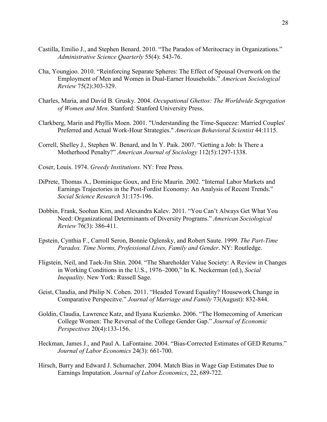- Castilla, Emilio J., and Stephen Benard. 2010. "The Paradox of Meritocracy in Organizations." *Administrative Science Quarterly* 55(4): 543-76.
- Cha, Youngjoo. 2010. "Reinforcing Separate Spheres: The Effect of Spousal Overwork on the Employment of Men and Women in Dual-Earner Households." *American Sociological Review* 75(2):303-329.
- Charles, Maria, and David B. Grusky. 2004. *Occupational Ghettos: The Worldwide Segregation of Women and Men*. Stanford: Stanford University Press.
- Clarkberg, Marin and Phyllis Moen. 2001. "Understanding the Time-Squeeze: Married Couples' Preferred and Actual Work-Hour Strategies." *American Behavioral Scientist* 44:1115.
- Correll, Shelley J., Stephen W. Benard, and In Y. Paik. 2007. "Getting a Job: Is There a Motherhood Penalty?" *American Journal of Sociology* 112(5):1297-1338.
- Coser, Louis. 1974. *Greedy Institutions.* NY: Free Press.
- DiPrete, Thomas A., Dominique Goux, and Eric Maurin. 2002. "Internal Labor Markets and Earnings Trajectories in the Post-Fordist Economy: An Analysis of Recent Trends." *Social Science Research* 31:175-196.
- Dobbin, Frank, Soohan Kim, and Alexandra Kalev. 2011. "You Can't Always Get What You Need: Organizational Determinants of Diversity Programs." *American Sociological Review* 76(3): 386-411.
- Epstein, Cynthia F., Carroll Seron, Bonnie Oglensky, and Robert Saute. 1999. *The Part-Time Paradox. Time Norms, Professional Lives, Family and Gender*. NY: Routledge.
- Fligstein, Neil, and Taek-Jin Shin. 2004. "The Shareholder Value Society: A Review in Changes in Working Conditions in the U.S., 1976–2000," In K. Neckerman (ed.), *Social Inequality*. New York: Russell Sage.
- Geist, Claudia, and Philip N. Cohen. 2011. "Headed Toward Equality? Housework Change in Comparative Perspecitve." *Journal of Marriage and Family* 73(August): 832-844.
- Goldin, Claudia, Lawrence Katz, and Ilyana Kuziemko. 2006. "The Homecoming of American College Women: The Reversal of the College Gender Gap." *Journal of Economic Perspectives* 20(4):133-156.
- Heckman, James J., and Paul A. LaFontaine. 2004. "Bias-Corrected Estimates of GED Returns." *Journal of Labor Economics* 24(3): 661-700.
- Hirsch, Barry and Edward J. Schumacher. 2004. Match Bias in Wage Gap Estimates Due to Earnings Imputation. *Journal of Labor Economics*, 22, 689-722.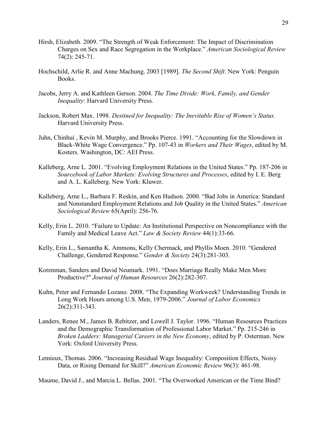- Hirsh, Elizabeth. 2009. "The Strength of Weak Enforcement: The Impact of Discrimination Charges on Sex and Race Segregation in the Workplace." *American Sociological Review*  74(2): 245-71.
- Hochschild, Arlie R. and Anne Machung. 2003 [1989]. *The Second Shift*. New York: Penguin Books.
- Jacobs, Jerry A. and Kathleen Gerson. 2004. *The Time Divide: Work, Family, and Gender Inequality*: Harvard University Press.
- Jackson, Robert Max. 1998. *Destined for Inequality: The Inevitable Rise of Women's Status.*  Harvard University Press.
- Juhn, Chinhui , Kevin M. Murphy, and Brooks Pierce. 1991. "Accounting for the Slowdown in Black-White Wage Convergence." Pp. 107-43 in *Workers and Their Wages*, edited by M. Kosters. Washington, DC: AEI Press.
- Kalleberg, Arne L. 2001. "Evolving Employment Relations in the United States." Pp. 187-206 in *Sourcebook of Labor Markets: Evolving Structures and Processes*, edited by I. E. Berg and A. L. Kalleberg. New York: Kluwer.
- Kalleberg, Arne L., Barbara F. Reskin, and Ken Hudson. 2000. "Bad Jobs in America: Standard and Nonstandard Employment Relations and Job Quality in the United States." *American Sociological Review* 65(April): 256-76.
- Kelly, Erin L. 2010. "Failure to Update: An Institutional Perspective on Noncompliance with the Family and Medical Leave Act." *Law & Society Review* 44(1):33-66.
- Kelly, Erin L., Samantha K. Ammons, Kelly Chermack, and Phyllis Moen. 2010. "Gendered Challenge, Gendered Response." *Gender & Society* 24(3):281-303.
- Korenman, Sanders and David Neumark. 1991. "Does Marriage Really Make Men More Productive?" *Journal of Human Resources* 26(2):282-307.
- Kuhn, Peter and Fernando Lozano. 2008. "The Expanding Workweek? Understanding Trends in Long Work Hours among U.S. Men, 1979-2006." *Journal of Labor Economics* 26(2):311-343.
- Landers, Renee M., James B. Rebitzer, and Lowell J. Taylor. 1996. "Human Resources Practices and the Demographic Transformation of Professional Labor Market." Pp. 215-246 in *Broken Ladders: Managerial Careers in the New Economy*, edited by P. Osterman. New York: Oxford University Press.
- Lemieux, Thomas. 2006. "Increasing Residual Wage Inequality: Composition Effects, Noisy Data, or Rising Demand for Skill?" *American Economic Review* 96(3): 461-98.

Maume, David J., and Marcia L. Bellas. 2001. "The Overworked American or the Time Bind?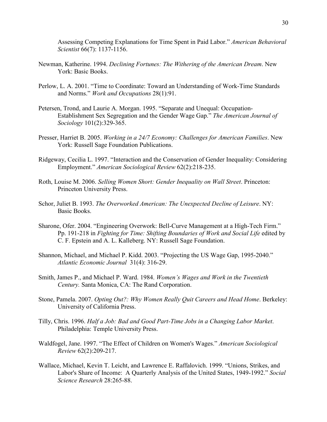Assessing Competing Explanations for Time Spent in Paid Labor." *American Behavioral Scientist* 66(7): 1137-1156.

- Newman, Katherine. 1994. *Declining Fortunes: The Withering of the American Dream*. New York: Basic Books.
- Perlow, L. A. 2001. "Time to Coordinate: Toward an Understanding of Work-Time Standards and Norms." *Work and Occupations* 28(1):91.
- Petersen, Trond, and Laurie A. Morgan. 1995. "Separate and Unequal: Occupation-Establishment Sex Segregation and the Gender Wage Gap." *The American Journal of Sociology* 101(2):329-365.
- Presser, Harriet B. 2005. *Working in a 24/7 Economy: Challenges for American Families*. New York: Russell Sage Foundation Publications.
- Ridgeway, Cecilia L. 1997. "Interaction and the Conservation of Gender Inequality: Considering Employment." *American Sociological Review* 62(2):218-235.
- Roth, Louise M. 2006. *Selling Women Short: Gender Inequality on Wall Street*. Princeton: Princeton University Press.
- Schor, Juliet B. 1993. *The Overworked American: The Unexpected Decline of Leisure*. NY: Basic Books.
- Sharone, Ofer. 2004. "Engineering Overwork: Bell-Curve Management at a High-Tech Firm." Pp. 191-218 in *Fighting for Time: Shifting Boundaries of Work and Social Life* edited by C. F. Epstein and A. L. Kalleberg. NY: Russell Sage Foundation.
- Shannon, Michael, and Michael P. Kidd. 2003. "Projecting the US Wage Gap, 1995-2040." *Atlantic Economic Journal* 31(4): 316-29.
- Smith, James P., and Michael P. Ward. 1984. *Women's Wages and Work in the Twentieth Century.* Santa Monica, CA: The Rand Corporation.
- Stone, Pamela. 2007. *Opting Out?: Why Women Really Quit Careers and Head Home*. Berkeley: University of California Press.
- Tilly, Chris. 1996. *Half a Job: Bad and Good Part-Time Jobs in a Changing Labor Market*. Philadelphia: Temple University Press.
- Waldfogel, Jane. 1997. "The Effect of Children on Women's Wages." *American Sociological Review* 62(2):209-217.
- Wallace, Michael, Kevin T. Leicht, and Lawrence E. Raffalovich. 1999. "Unions, Strikes, and Labor's Share of Income: A Quarterly Analysis of the United States, 1949-1992." *Social Science Research* 28:265-88.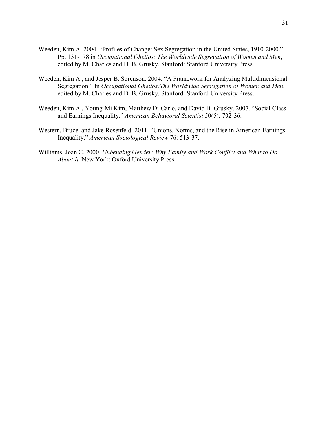- Weeden, Kim A. 2004. "Profiles of Change: Sex Segregation in the United States, 1910-2000." Pp. 131-178 in *Occupational Ghettos: The Worldwide Segregation of Women and Men*, edited by M. Charles and D. B. Grusky. Stanford: Stanford University Press.
- Weeden, Kim A., and Jesper B. Sørenson. 2004. "A Framework for Analyzing Multidimensional Segregation." In *Occupational Ghettos:The Worldwide Segregation of Women and Men*, edited by M. Charles and D. B. Grusky. Stanford: Stanford University Press.
- Weeden, Kim A., Young-Mi Kim, Matthew Di Carlo, and David B. Grusky. 2007. "Social Class and Earnings Inequality." *American Behavioral Scientist* 50(5): 702-36.
- Western, Bruce, and Jake Rosenfeld. 2011. "Unions, Norms, and the Rise in American Earnings Inequality." *American Sociological Review* 76: 513-37.
- Williams, Joan C. 2000. *Unbending Gender: Why Family and Work Conflict and What to Do About It*. New York: Oxford University Press.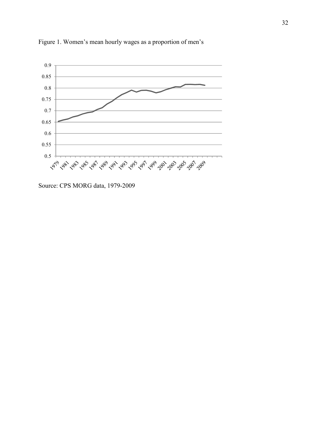

Figure 1. Women's mean hourly wages as a proportion of men's

Source: CPS MORG data, 1979-2009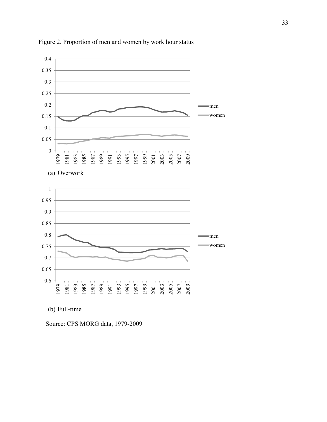

Figure 2. Proportion of men and women by work hour status

(b) Full-time

Source: CPS MORG data, 1979-2009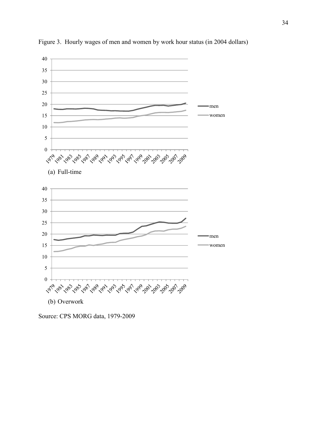

Figure 3. Hourly wages of men and women by work hour status (in 2004 dollars)

Source: CPS MORG data, 1979-2009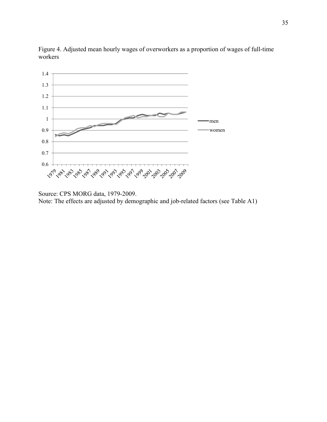

Figure 4. Adjusted mean hourly wages of overworkers as a proportion of wages of full-time workers

Note: The effects are adjusted by demographic and job-related factors (see Table A1)

Source: CPS MORG data, 1979-2009.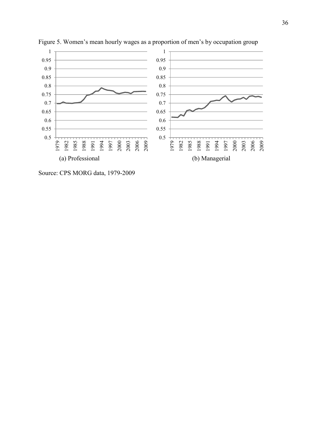

Figure 5. Women's mean hourly wages as a proportion of men's by occupation group

Source: CPS MORG data, 1979-2009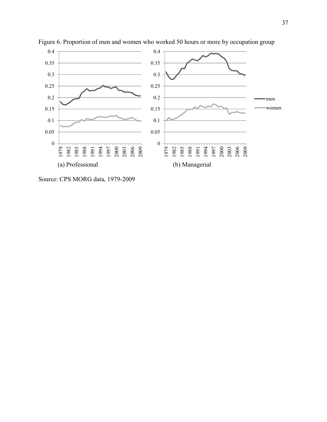

Figure 6. Proportion of men and women who worked 50 hours or more by occupation group

Source: CPS MORG data, 1979-2009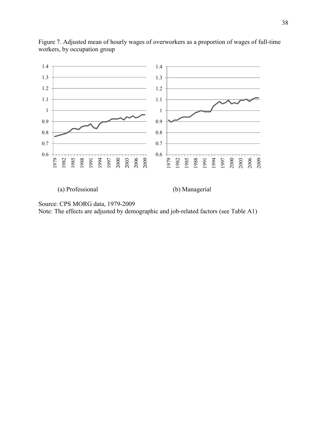

Figure 7. Adjusted mean of hourly wages of overworkers as a proportion of wages of full-time workers, by occupation group

(a) Professional (b) Managerial

Source: CPS MORG data, 1979-2009 Note: The effects are adjusted by demographic and job-related factors (see Table A1)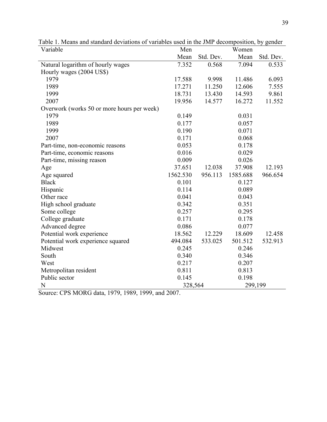| Variable                                   | Men      |           | Women    |           |
|--------------------------------------------|----------|-----------|----------|-----------|
|                                            | Mean     | Std. Dev. | Mean     | Std. Dev. |
| Natural logarithm of hourly wages          | 7.352    | 0.568     | 7.094    | 0.533     |
| Hourly wages (2004 US\$)                   |          |           |          |           |
| 1979                                       | 17.588   | 9.998     | 11.486   | 6.093     |
| 1989                                       | 17.271   | 11.250    | 12.606   | 7.555     |
| 1999                                       | 18.731   | 13.430    | 14.593   | 9.861     |
| 2007                                       | 19.956   | 14.577    | 16.272   | 11.552    |
| Overwork (works 50 or more hours per week) |          |           |          |           |
| 1979                                       | 0.149    |           | 0.031    |           |
| 1989                                       | 0.177    |           | 0.057    |           |
| 1999                                       | 0.190    |           | 0.071    |           |
| 2007                                       | 0.171    |           | 0.068    |           |
| Part-time, non-economic reasons            | 0.053    |           | 0.178    |           |
| Part-time, economic reasons                | 0.016    |           | 0.029    |           |
| Part-time, missing reason                  | 0.009    |           | 0.026    |           |
| Age                                        | 37.651   | 12.038    | 37.908   | 12.193    |
| Age squared                                | 1562.530 | 956.113   | 1585.688 | 966.654   |
| <b>Black</b>                               | 0.101    |           | 0.127    |           |
| Hispanic                                   | 0.114    |           | 0.089    |           |
| Other race                                 | 0.041    |           | 0.043    |           |
| High school graduate                       | 0.342    |           | 0.351    |           |
| Some college                               | 0.257    |           | 0.295    |           |
| College graduate                           | 0.171    |           | 0.178    |           |
| Advanced degree                            | 0.086    |           | 0.077    |           |
| Potential work experience                  | 18.562   | 12.229    | 18.609   | 12.458    |
| Potential work experience squared          | 494.084  | 533.025   | 501.512  | 532.913   |
| Midwest                                    | 0.245    |           | 0.246    |           |
| South                                      | 0.340    |           | 0.346    |           |
| West                                       | 0.217    |           | 0.207    |           |
| Metropolitan resident                      | 0.811    |           | 0.813    |           |
| Public sector                              | 0.145    |           | 0.198    |           |
| N                                          | 328,564  |           | 299,199  |           |

Table 1. Means and standard deviations of variables used in the JMP decomposition, by gender

Source: CPS MORG data, 1979, 1989, 1999, and 2007.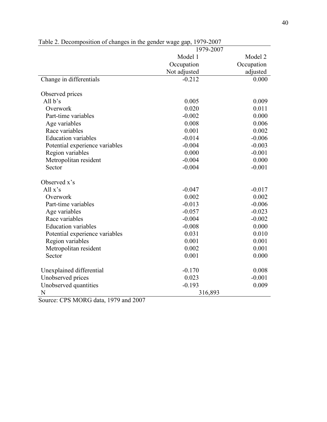|                                | 1979-2007          |            |  |  |
|--------------------------------|--------------------|------------|--|--|
|                                | Model 1<br>Model 2 |            |  |  |
|                                | Occupation         | Occupation |  |  |
|                                | Not adjusted       | adjusted   |  |  |
| Change in differentials        | $-0.212$           | 0.000      |  |  |
| Observed prices                |                    |            |  |  |
| All $b's$                      | 0.005              | 0.009      |  |  |
| Overwork                       | 0.020              | 0.011      |  |  |
| Part-time variables            | $-0.002$           | 0.000      |  |  |
| Age variables                  | 0.008              | 0.006      |  |  |
| Race variables                 | 0.001              | 0.002      |  |  |
| <b>Education</b> variables     | $-0.014$           | $-0.006$   |  |  |
| Potential experience variables | $-0.004$           | $-0.003$   |  |  |
| Region variables               | 0.000              | $-0.001$   |  |  |
| Metropolitan resident          | $-0.004$           | 0.000      |  |  |
| Sector                         | $-0.004$           | $-0.001$   |  |  |
| Observed x's                   |                    |            |  |  |
| All $x's$                      | $-0.047$           | $-0.017$   |  |  |
| Overwork                       | 0.002              | 0.002      |  |  |
| Part-time variables            | $-0.013$           | $-0.006$   |  |  |
| Age variables                  | $-0.057$           | $-0.023$   |  |  |
| Race variables                 | $-0.004$           | $-0.002$   |  |  |
| <b>Education</b> variables     | $-0.008$           | 0.000      |  |  |
| Potential experience variables | 0.031              | 0.010      |  |  |
| Region variables               | 0.001              | 0.001      |  |  |
| Metropolitan resident          | 0.002              | 0.001      |  |  |
| Sector                         | 0.001              | 0.000      |  |  |
| Unexplained differential       | $-0.170$           | 0.008      |  |  |
| Unobserved prices              | 0.023              | $-0.001$   |  |  |
| Unobserved quantities          | $-0.193$           | 0.009      |  |  |
| N                              | 316,893            |            |  |  |

Table 2. Decomposition of changes in the gender wage gap, 1979-2007

Source: CPS MORG data, 1979 and 2007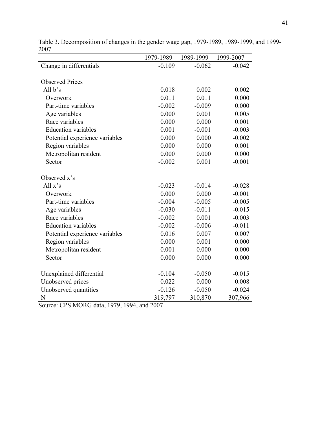|                                | 1979-1989 | 1989-1999 | 1999-2007 |
|--------------------------------|-----------|-----------|-----------|
| Change in differentials        | $-0.109$  | $-0.062$  | $-0.042$  |
|                                |           |           |           |
| <b>Observed Prices</b>         |           |           |           |
| All $b's$                      | 0.018     | 0.002     | 0.002     |
| Overwork                       | 0.011     | 0.011     | 0.000     |
| Part-time variables            | $-0.002$  | $-0.009$  | 0.000     |
| Age variables                  | 0.000     | 0.001     | 0.005     |
| Race variables                 | 0.000     | 0.000     | 0.001     |
| <b>Education variables</b>     | 0.001     | $-0.001$  | $-0.003$  |
| Potential experience variables | 0.000     | 0.000     | $-0.002$  |
| Region variables               | 0.000     | 0.000     | 0.001     |
| Metropolitan resident          | 0.000     | 0.000     | 0.000     |
| Sector                         | $-0.002$  | 0.001     | $-0.001$  |
|                                |           |           |           |
| Observed x's                   |           |           |           |
| All $x's$                      | $-0.023$  | $-0.014$  | $-0.028$  |
| Overwork                       | 0.000     | 0.000     | $-0.001$  |
| Part-time variables            | $-0.004$  | $-0.005$  | $-0.005$  |
| Age variables                  | $-0.030$  | $-0.011$  | $-0.015$  |
| Race variables                 | $-0.002$  | 0.001     | $-0.003$  |
| <b>Education variables</b>     | $-0.002$  | $-0.006$  | $-0.011$  |
| Potential experience variables | 0.016     | 0.007     | 0.007     |
| Region variables               | 0.000     | 0.001     | 0.000     |
| Metropolitan resident          | 0.001     | 0.000     | 0.000     |
| Sector                         | 0.000     | 0.000     | 0.000     |
|                                |           |           |           |
| Unexplained differential       | $-0.104$  | $-0.050$  | $-0.015$  |
| Unobserved prices              | 0.022     | 0.000     | 0.008     |
| Unobserved quantities          | $-0.126$  | $-0.050$  | $-0.024$  |
| N                              | 319,797   | 310,870   | 307,966   |

Table 3. Decomposition of changes in the gender wage gap, 1979-1989, 1989-1999, and 1999- 2007  $\overline{\phantom{0}}$ 

Source: CPS MORG data, 1979, 1994, and 2007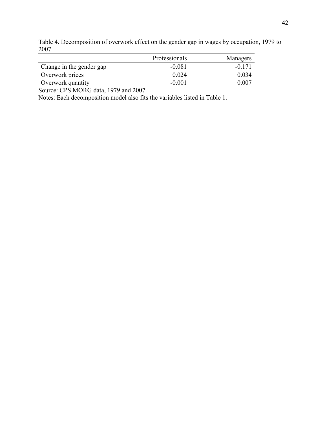|                          | Professionals | Managers |
|--------------------------|---------------|----------|
| Change in the gender gap | $-0.081$      | $-0.171$ |
| Overwork prices          | 0 0 2 4       | 0.034    |
| Overwork quantity        | $-0.001$      | 0.007    |

Table 4. Decomposition of overwork effect on the gender gap in wages by occupation, 1979 to 2007

Source: CPS MORG data, 1979 and 2007.

Notes: Each decomposition model also fits the variables listed in Table 1.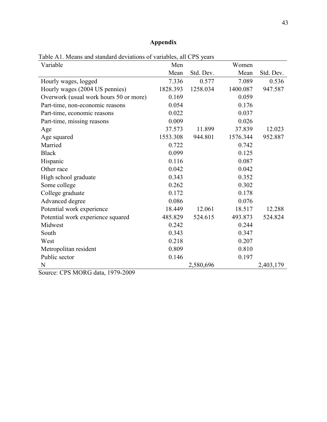# **Appendix**

| Variable                                    | Men      |           | Women    |           |
|---------------------------------------------|----------|-----------|----------|-----------|
|                                             | Mean     | Std. Dev. | Mean     | Std. Dev. |
| Hourly wages, logged                        | 7.336    | 0.577     | 7.089    | 0.536     |
| Hourly wages (2004 US pennies)              | 1828.393 | 1258.034  | 1400.087 | 947.587   |
| Overwork (usual work hours 50 or more)      | 0.169    |           | 0.059    |           |
| Part-time, non-economic reasons             | 0.054    |           | 0.176    |           |
| Part-time, economic reasons                 | 0.022    |           | 0.037    |           |
| Part-time, missing reasons                  | 0.009    |           | 0.026    |           |
| Age                                         | 37.573   | 11.899    | 37.839   | 12.023    |
| Age squared                                 | 1553.308 | 944.801   | 1576.344 | 952.887   |
| Married                                     | 0.722    |           | 0.742    |           |
| <b>Black</b>                                | 0.099    |           | 0.125    |           |
| Hispanic                                    | 0.116    |           | 0.087    |           |
| Other race                                  | 0.042    |           | 0.042    |           |
| High school graduate                        | 0.343    |           | 0.352    |           |
| Some college                                | 0.262    |           | 0.302    |           |
| College graduate                            | 0.172    |           | 0.178    |           |
| Advanced degree                             | 0.086    |           | 0.076    |           |
| Potential work experience                   | 18.449   | 12.061    | 18.517   | 12.288    |
| Potential work experience squared           | 485.829  | 524.615   | 493.873  | 524.824   |
| Midwest                                     | 0.242    |           | 0.244    |           |
| South                                       | 0.343    |           | 0.347    |           |
| West                                        | 0.218    |           | 0.207    |           |
| Metropolitan resident                       | 0.809    |           | 0.810    |           |
| Public sector                               | 0.146    |           | 0.197    |           |
| N<br>$CDQ$ $MODQ$ $1 + 1070$ 0000<br>$\sim$ |          | 2,580,696 |          | 2,403,179 |

Table A1. Means and standard deviations of variables, all CPS years

Source: CPS MORG data, 1979-2009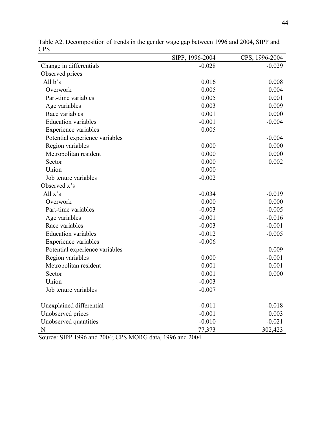| $\mathsf{c}_1$                 | SIPP, 1996-2004 | CPS, 1996-2004 |
|--------------------------------|-----------------|----------------|
| Change in differentials        | $-0.028$        | $-0.029$       |
| Observed prices                |                 |                |
| All b's                        | 0.016           | 0.008          |
| Overwork                       | 0.005           | 0.004          |
| Part-time variables            | 0.005           | 0.001          |
| Age variables                  | 0.003           | 0.009          |
| Race variables                 | 0.001           | 0.000          |
| <b>Education variables</b>     | $-0.001$        | $-0.004$       |
| Experience variables           | 0.005           |                |
| Potential experience variables |                 | $-0.004$       |
| Region variables               | 0.000           | 0.000          |
| Metropolitan resident          | 0.000           | 0.000          |
| Sector                         | 0.000           | 0.002          |
| Union                          | 0.000           |                |
| Job tenure variables           | $-0.002$        |                |
| Observed x's                   |                 |                |
| All $x's$                      | $-0.034$        | $-0.019$       |
| Overwork                       | 0.000           | 0.000          |
| Part-time variables            | $-0.003$        | $-0.005$       |
| Age variables                  | $-0.001$        | $-0.016$       |
| Race variables                 | $-0.003$        | $-0.001$       |
| <b>Education</b> variables     | $-0.012$        | $-0.005$       |
| Experience variables           | $-0.006$        |                |
| Potential experience variables |                 | 0.009          |
| Region variables               | 0.000           | $-0.001$       |
| Metropolitan resident          | 0.001           | 0.001          |
| Sector                         | 0.001           | 0.000          |
| Union                          | $-0.003$        |                |
| Job tenure variables           | $-0.007$        |                |
| Unexplained differential       | $-0.011$        | $-0.018$       |
| Unobserved prices              | $-0.001$        | 0.003          |
| Unobserved quantities          | $-0.010$        | $-0.021$       |
| N                              | 77,373          | 302,423        |

Table A2. Decomposition of trends in the gender wage gap between 1996 and 2004, SIPP and CPS

Source: SIPP 1996 and 2004; CPS MORG data, 1996 and 2004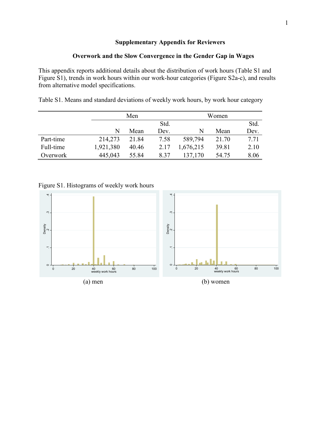# **Supplementary Appendix for Reviewers**

# **Overwork and the Slow Convergence in the Gender Gap in Wages**

This appendix reports additional details about the distribution of work hours (Table S1 and Figure S1), trends in work hours within our work-hour categories (Figure S2a-c), and results from alternative model specifications.

Table S1. Means and standard deviations of weekly work hours, by work hour category

|           |           | Men   |      | Women     |       |      |
|-----------|-----------|-------|------|-----------|-------|------|
|           |           |       | Std. |           |       | Std. |
|           | N         | Mean  | Dev. | N         | Mean  | Dev. |
| Part-time | 214,273   | 21.84 | 7.58 | 589,794   | 21.70 | 7.71 |
| Full-time | 1,921,380 | 40.46 | 2.17 | 1,676,215 | 39.81 | 2.10 |
| Overwork  | 445,043   | 55.84 | 8.37 | 137,170   | 54.75 | 8.06 |

Figure S1. Histograms of weekly work hours

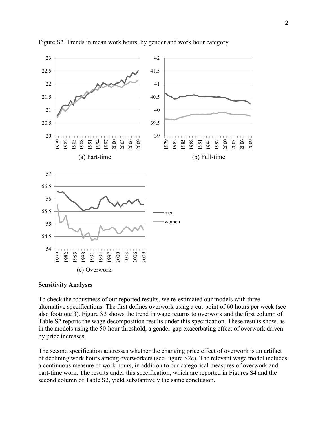

## Figure S2. Trends in mean work hours, by gender and work hour category

#### **Sensitivity Analyses**

To check the robustness of our reported results, we re-estimated our models with three alternative specifications. The first defines overwork using a cut-point of 60 hours per week (see also footnote 3). Figure S3 shows the trend in wage returns to overwork and the first column of Table S2 reports the wage decomposition results under this specification. These results show, as in the models using the 50-hour threshold, a gender-gap exacerbating effect of overwork driven by price increases.

The second specification addresses whether the changing price effect of overwork is an artifact of declining work hours among overworkers (see Figure S2c). The relevant wage model includes a continuous measure of work hours, in addition to our categorical measures of overwork and part-time work. The results under this specification, which are reported in Figures S4 and the second column of Table S2, yield substantively the same conclusion.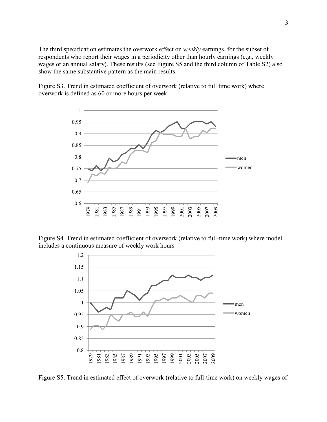The third specification estimates the overwork effect on *weekly* earnings, for the subset of respondents who report their wages in a periodicity other than hourly earnings (e.g., weekly wages or an annual salary). These results (see Figure S5 and the third column of Table S2) also show the same substantive pattern as the main results.

Figure S3. Trend in estimated coefficient of overwork (relative to full time work) where overwork is defined as 60 or more hours per week



Figure S4. Trend in estimated coefficient of overwork (relative to full-time work) where model includes a continuous measure of weekly work hours



Figure S5. Trend in estimated effect of overwork (relative to full-time work) on weekly wages of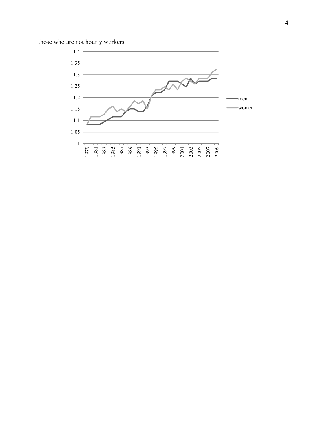